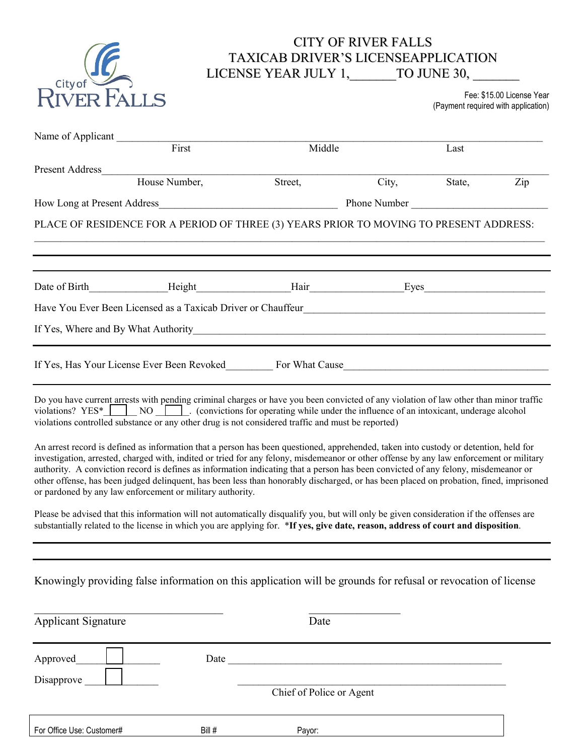

## CITY OF RIVER FALLS TAXICAB DRIVER'S LICENSEAPPLICATION LICENSE YEAR JULY 1,\_\_\_\_\_\_\_TO JUNE 30,

Fee: \$15.00 License Year (Payment required with application)

| Name of Applicant                                                                                                                                                                                                                                                            |                                                                                                                                                                                                                                                                                                                                                                                                                                                                                                                                                                                                                              |                          |       |        |     |
|------------------------------------------------------------------------------------------------------------------------------------------------------------------------------------------------------------------------------------------------------------------------------|------------------------------------------------------------------------------------------------------------------------------------------------------------------------------------------------------------------------------------------------------------------------------------------------------------------------------------------------------------------------------------------------------------------------------------------------------------------------------------------------------------------------------------------------------------------------------------------------------------------------------|--------------------------|-------|--------|-----|
|                                                                                                                                                                                                                                                                              | First                                                                                                                                                                                                                                                                                                                                                                                                                                                                                                                                                                                                                        | Middle                   |       | Last   |     |
| <b>Present Address</b>                                                                                                                                                                                                                                                       |                                                                                                                                                                                                                                                                                                                                                                                                                                                                                                                                                                                                                              |                          |       |        |     |
|                                                                                                                                                                                                                                                                              | House Number,                                                                                                                                                                                                                                                                                                                                                                                                                                                                                                                                                                                                                | Street,                  | City, | State, | Zip |
|                                                                                                                                                                                                                                                                              |                                                                                                                                                                                                                                                                                                                                                                                                                                                                                                                                                                                                                              |                          |       |        |     |
|                                                                                                                                                                                                                                                                              | PLACE OF RESIDENCE FOR A PERIOD OF THREE (3) YEARS PRIOR TO MOVING TO PRESENT ADDRESS:                                                                                                                                                                                                                                                                                                                                                                                                                                                                                                                                       |                          |       |        |     |
|                                                                                                                                                                                                                                                                              |                                                                                                                                                                                                                                                                                                                                                                                                                                                                                                                                                                                                                              |                          |       |        |     |
|                                                                                                                                                                                                                                                                              |                                                                                                                                                                                                                                                                                                                                                                                                                                                                                                                                                                                                                              |                          |       |        |     |
|                                                                                                                                                                                                                                                                              |                                                                                                                                                                                                                                                                                                                                                                                                                                                                                                                                                                                                                              |                          |       |        |     |
|                                                                                                                                                                                                                                                                              |                                                                                                                                                                                                                                                                                                                                                                                                                                                                                                                                                                                                                              |                          |       |        |     |
|                                                                                                                                                                                                                                                                              | Do you have current arrests with pending criminal charges or have you been convicted of any violation of law other than minor traffic<br>violations? $YES \longleftarrow NO \longleftarrow$ (convictions for operating while under the influence of an intoxicant, underage alcohol<br>violations controlled substance or any other drug is not considered traffic and must be reported)                                                                                                                                                                                                                                     |                          |       |        |     |
|                                                                                                                                                                                                                                                                              | An arrest record is defined as information that a person has been questioned, apprehended, taken into custody or detention, held for<br>investigation, arrested, charged with, indited or tried for any felony, misdemeanor or other offense by any law enforcement or military<br>authority. A conviction record is defines as information indicating that a person has been convicted of any felony, misdemeanor or<br>other offense, has been judged delinquent, has been less than honorably discharged, or has been placed on probation, fined, imprisoned<br>or pardoned by any law enforcement or military authority. |                          |       |        |     |
| Please be advised that this information will not automatically disqualify you, but will only be given consideration if the offenses are<br>substantially related to the license in which you are applying for. *If yes, give date, reason, address of court and disposition. |                                                                                                                                                                                                                                                                                                                                                                                                                                                                                                                                                                                                                              |                          |       |        |     |
|                                                                                                                                                                                                                                                                              |                                                                                                                                                                                                                                                                                                                                                                                                                                                                                                                                                                                                                              |                          |       |        |     |
|                                                                                                                                                                                                                                                                              | Knowingly providing false information on this application will be grounds for refusal or revocation of license                                                                                                                                                                                                                                                                                                                                                                                                                                                                                                               |                          |       |        |     |
| <b>Applicant Signature</b>                                                                                                                                                                                                                                                   |                                                                                                                                                                                                                                                                                                                                                                                                                                                                                                                                                                                                                              | Date                     |       |        |     |
| Approved                                                                                                                                                                                                                                                                     | Date                                                                                                                                                                                                                                                                                                                                                                                                                                                                                                                                                                                                                         |                          |       |        |     |
| Disapprove                                                                                                                                                                                                                                                                   |                                                                                                                                                                                                                                                                                                                                                                                                                                                                                                                                                                                                                              |                          |       |        |     |
|                                                                                                                                                                                                                                                                              |                                                                                                                                                                                                                                                                                                                                                                                                                                                                                                                                                                                                                              | Chief of Police or Agent |       |        |     |

| For (<br>Office<br>Use<br>Customer <sub>h</sub> | Bill # | Pavor: |
|-------------------------------------------------|--------|--------|
|                                                 |        |        |